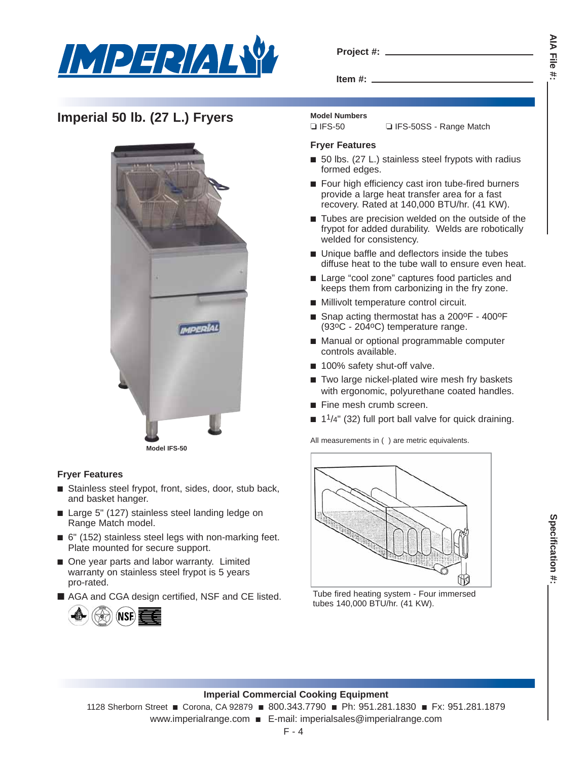

|  | Project #: |  |
|--|------------|--|
|  |            |  |

**Item #:**

# **Imperial 50 lb. (27 L.) Fryers** Model Numbers



### **Fryer Features**

- Stainless steel frypot, front, sides, door, stub back, and basket hanger.
- Large 5" (127) stainless steel landing ledge on Range Match model.
- 6" (152) stainless steel legs with non-marking feet. Plate mounted for secure support.
- One year parts and labor warranty. Limited warranty on stainless steel frypot is 5 years pro-rated.
- AGA and CGA design certified, NSF and CE listed.



### **Fryer Features**

■ 50 lbs. (27 L.) stainless steel frypots with radius formed edges.

❏ IFS-50 ❏ IFS-50SS - Range Match

- Four high efficiency cast iron tube-fired burners provide a large heat transfer area for a fast recovery. Rated at 140,000 BTU/hr. (41 KW).
- Tubes are precision welded on the outside of the frypot for added durability. Welds are robotically welded for consistency.
- Unique baffle and deflectors inside the tubes diffuse heat to the tube wall to ensure even heat.
- Large "cool zone" captures food particles and keeps them from carbonizing in the fry zone.
- Millivolt temperature control circuit.
- Snap acting thermostat has a 200°F 400°F (93oC - 204oC) temperature range.
- Manual or optional programmable computer controls available.
- 100% safety shut-off valve.
- Two large nickel-plated wire mesh fry baskets with ergonomic, polyurethane coated handles.
- Fine mesh crumb screen.
- $\blacksquare$  1<sup>1</sup>/4" (32) full port ball valve for quick draining.

All measurements in ( ) are metric equivalents.



Tube fired heating system - Four immersed tubes 140,000 BTU/hr. (41 KW).

#### **Imperial Commercial Cooking Equipment**

1128 Sherborn Street ■ Corona, CA 92879 ■ 800.343.7790 ■ Ph: 951.281.1830 ■ Fx: 951.281.1879 www.imperialrange.com ■ E-mail: imperialsales@imperialrange.com